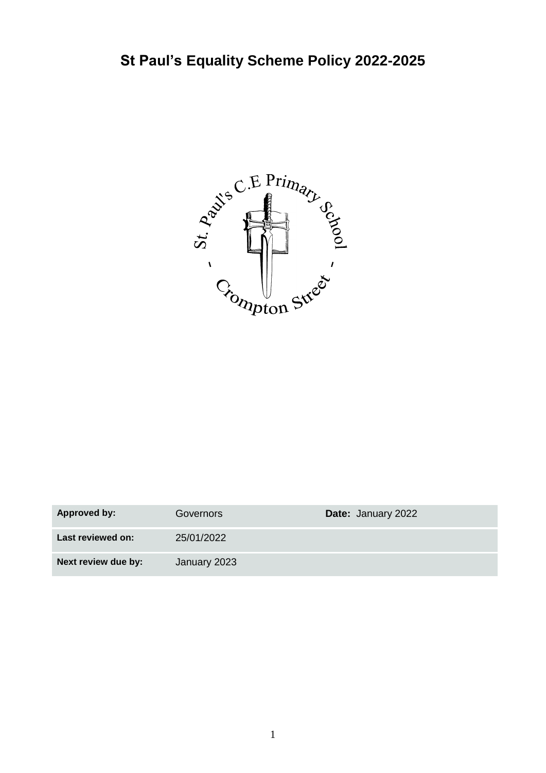

| <b>Approved by:</b> | Governors    | Date: January 2022 |
|---------------------|--------------|--------------------|
| Last reviewed on:   | 25/01/2022   |                    |
| Next review due by: | January 2023 |                    |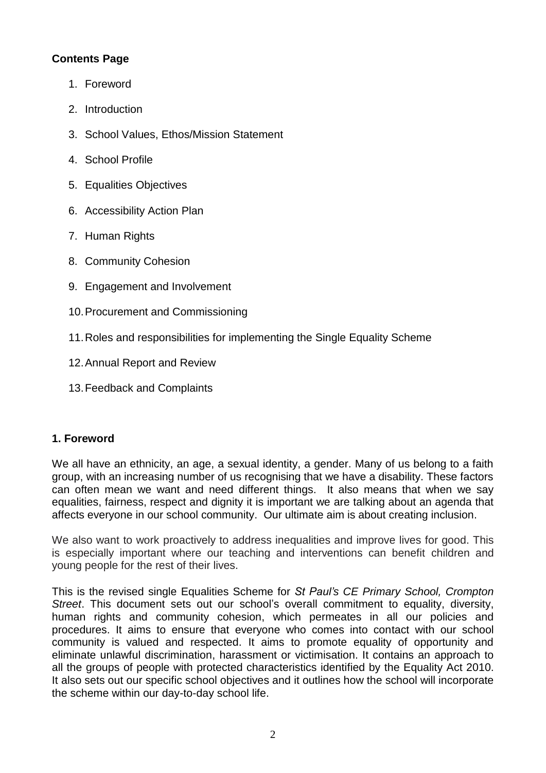## **Contents Page**

- 1. Foreword
- 2. Introduction
- 3. School Values, Ethos/Mission Statement
- 4. School Profile
- 5. Equalities Objectives
- 6. Accessibility Action Plan
- 7. Human Rights
- 8. Community Cohesion
- 9. Engagement and Involvement
- 10.Procurement and Commissioning
- 11.Roles and responsibilities for implementing the Single Equality Scheme
- 12.Annual Report and Review
- 13.Feedback and Complaints

#### **1. Foreword**

We all have an ethnicity, an age, a sexual identity, a gender. Many of us belong to a faith group, with an increasing number of us recognising that we have a disability. These factors can often mean we want and need different things. It also means that when we say equalities, fairness, respect and dignity it is important we are talking about an agenda that affects everyone in our school community. Our ultimate aim is about creating inclusion.

We also want to work proactively to address inequalities and improve lives for good. This is especially important where our teaching and interventions can benefit children and young people for the rest of their lives.

This is the revised single Equalities Scheme for *St Paul's CE Primary School, Crompton Street*. This document sets out our school's overall commitment to equality, diversity, human rights and community cohesion, which permeates in all our policies and procedures. It aims to ensure that everyone who comes into contact with our school community is valued and respected. It aims to promote equality of opportunity and eliminate unlawful discrimination, harassment or victimisation. It contains an approach to all the groups of people with protected characteristics identified by the Equality Act 2010. It also sets out our specific school objectives and it outlines how the school will incorporate the scheme within our day-to-day school life.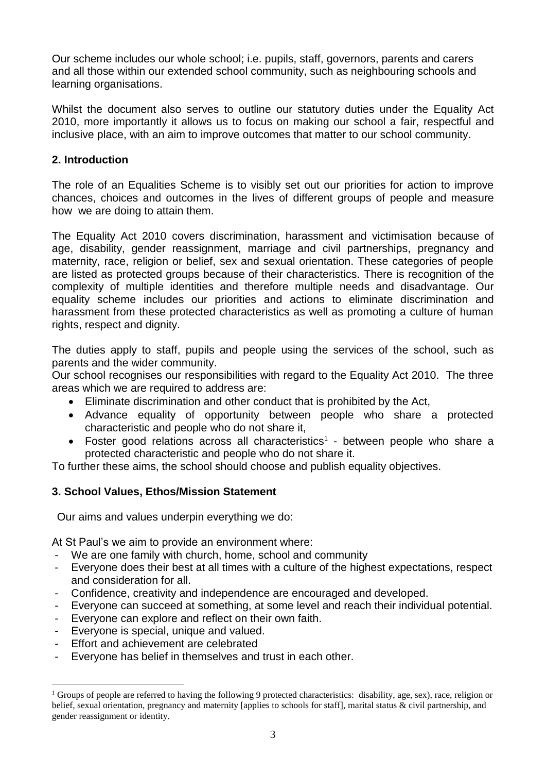Our scheme includes our whole school; i.e. pupils, staff, governors, parents and carers and all those within our extended school community, such as neighbouring schools and learning organisations.

Whilst the document also serves to outline our statutory duties under the Equality Act 2010, more importantly it allows us to focus on making our school a fair, respectful and inclusive place, with an aim to improve outcomes that matter to our school community.

#### **2. Introduction**

The role of an Equalities Scheme is to visibly set out our priorities for action to improve chances, choices and outcomes in the lives of different groups of people and measure how we are doing to attain them.

The Equality Act 2010 covers discrimination, harassment and victimisation because of age, disability, gender reassignment, marriage and civil partnerships, pregnancy and maternity, race, religion or belief, sex and sexual orientation. These categories of people are listed as protected groups because of their characteristics. There is recognition of the complexity of multiple identities and therefore multiple needs and disadvantage. Our equality scheme includes our priorities and actions to eliminate discrimination and harassment from these protected characteristics as well as promoting a culture of human rights, respect and dignity.

The duties apply to staff, pupils and people using the services of the school, such as parents and the wider community.

Our school recognises our responsibilities with regard to the Equality Act 2010. The three areas which we are required to address are:

- Eliminate discrimination and other conduct that is prohibited by the Act,
- Advance equality of opportunity between people who share a protected characteristic and people who do not share it,
- Foster good relations across all characteristics<sup>1</sup> between people who share a protected characteristic and people who do not share it.

To further these aims, the school should choose and publish equality objectives.

#### **3. School Values, Ethos/Mission Statement**

Our aims and values underpin everything we do:

At St Paul's we aim to provide an environment where:

- We are one family with church, home, school and community
- Everyone does their best at all times with a culture of the highest expectations, respect and consideration for all.
- Confidence, creativity and independence are encouraged and developed.
- Everyone can succeed at something, at some level and reach their individual potential.
- Everyone can explore and reflect on their own faith.
- Everyone is special, unique and valued.
- Effort and achievement are celebrated

<u>.</u>

Everyone has belief in themselves and trust in each other.

<sup>&</sup>lt;sup>1</sup> Groups of people are referred to having the following 9 protected characteristics: disability, age, sex), race, religion or belief, sexual orientation, pregnancy and maternity [applies to schools for staff], marital status & civil partnership, and gender reassignment or identity.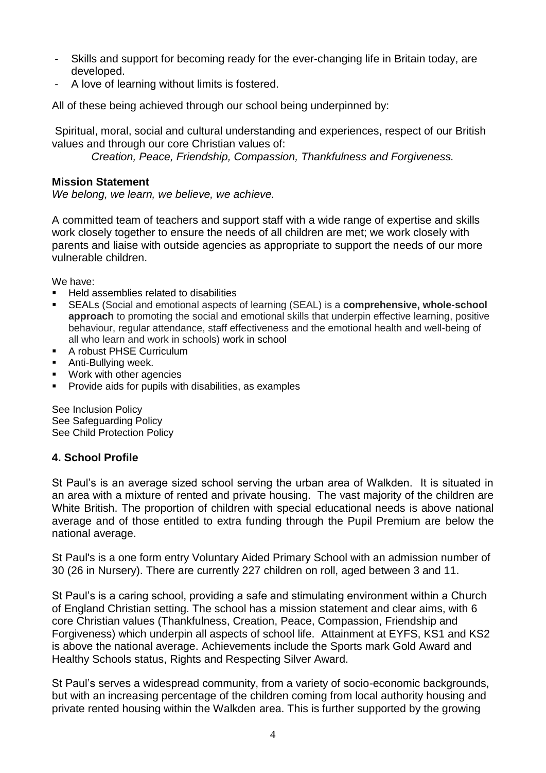- Skills and support for becoming ready for the ever-changing life in Britain today, are developed.
- A love of learning without limits is fostered.

All of these being achieved through our school being underpinned by:

Spiritual, moral, social and cultural understanding and experiences, respect of our British values and through our core Christian values of:

*Creation, Peace, Friendship, Compassion, Thankfulness and Forgiveness.*

#### **Mission Statement**

*We belong, we learn, we believe, we achieve.*

A committed team of teachers and support staff with a wide range of expertise and skills work closely together to ensure the needs of all children are met; we work closely with parents and liaise with outside agencies as appropriate to support the needs of our more vulnerable children.

We have:

- Held assemblies related to disabilities
- SEALs (Social and emotional aspects of learning (SEAL) is a **comprehensive, whole-school approach** to promoting the social and emotional skills that underpin effective learning, positive behaviour, regular attendance, staff effectiveness and the emotional health and well-being of all who learn and work in schools) work in school
- A robust PHSE Curriculum
- Anti-Bullving week.
- Work with other agencies
- Provide aids for pupils with disabilities, as examples

See Inclusion Policy See Safeguarding Policy See Child Protection Policy

#### **4. School Profile**

St Paul's is an average sized school serving the urban area of Walkden. It is situated in an area with a mixture of rented and private housing. The vast majority of the children are White British. The proportion of children with special educational needs is above national average and of those entitled to extra funding through the Pupil Premium are below the national average.

St Paul's is a one form entry Voluntary Aided Primary School with an admission number of 30 (26 in Nursery). There are currently 227 children on roll, aged between 3 and 11.

St Paul's is a caring school, providing a safe and stimulating environment within a Church of England Christian setting. The school has a mission statement and clear aims, with 6 core Christian values (Thankfulness, Creation, Peace, Compassion, Friendship and Forgiveness) which underpin all aspects of school life. Attainment at EYFS, KS1 and KS2 is above the national average. Achievements include the Sports mark Gold Award and Healthy Schools status, Rights and Respecting Silver Award.

St Paul's serves a widespread community, from a variety of socio-economic backgrounds, but with an increasing percentage of the children coming from local authority housing and private rented housing within the Walkden area. This is further supported by the growing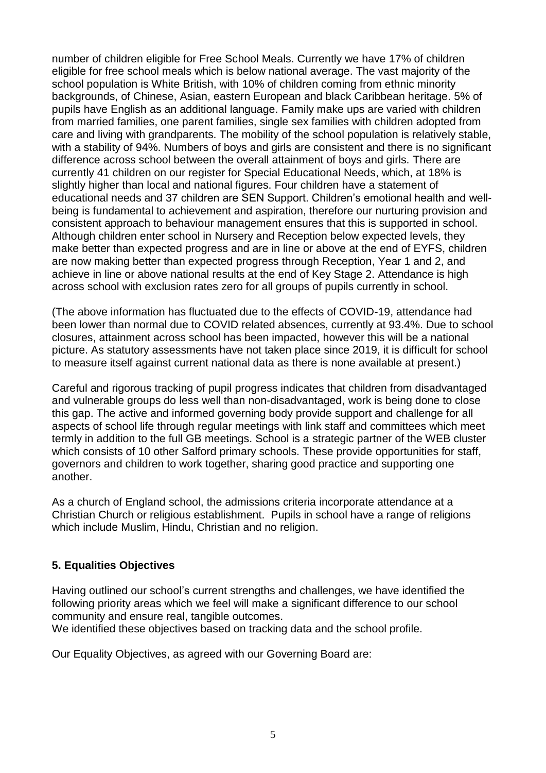number of children eligible for Free School Meals. Currently we have 17% of children eligible for free school meals which is below national average. The vast majority of the school population is White British, with 10% of children coming from ethnic minority backgrounds, of Chinese, Asian, eastern European and black Caribbean heritage. 5% of pupils have English as an additional language. Family make ups are varied with children from married families, one parent families, single sex families with children adopted from care and living with grandparents. The mobility of the school population is relatively stable, with a stability of 94%. Numbers of boys and girls are consistent and there is no significant difference across school between the overall attainment of boys and girls. There are currently 41 children on our register for Special Educational Needs, which, at 18% is slightly higher than local and national figures. Four children have a statement of educational needs and 37 children are SEN Support. Children's emotional health and wellbeing is fundamental to achievement and aspiration, therefore our nurturing provision and consistent approach to behaviour management ensures that this is supported in school. Although children enter school in Nursery and Reception below expected levels, they make better than expected progress and are in line or above at the end of EYFS, children are now making better than expected progress through Reception, Year 1 and 2, and achieve in line or above national results at the end of Key Stage 2. Attendance is high across school with exclusion rates zero for all groups of pupils currently in school.

(The above information has fluctuated due to the effects of COVID-19, attendance had been lower than normal due to COVID related absences, currently at 93.4%. Due to school closures, attainment across school has been impacted, however this will be a national picture. As statutory assessments have not taken place since 2019, it is difficult for school to measure itself against current national data as there is none available at present.)

Careful and rigorous tracking of pupil progress indicates that children from disadvantaged and vulnerable groups do less well than non-disadvantaged, work is being done to close this gap. The active and informed governing body provide support and challenge for all aspects of school life through regular meetings with link staff and committees which meet termly in addition to the full GB meetings. School is a strategic partner of the WEB cluster which consists of 10 other Salford primary schools. These provide opportunities for staff, governors and children to work together, sharing good practice and supporting one another.

As a church of England school, the admissions criteria incorporate attendance at a Christian Church or religious establishment. Pupils in school have a range of religions which include Muslim, Hindu, Christian and no religion.

#### **5. Equalities Objectives**

Having outlined our school's current strengths and challenges, we have identified the following priority areas which we feel will make a significant difference to our school community and ensure real, tangible outcomes.

We identified these objectives based on tracking data and the school profile.

Our Equality Objectives, as agreed with our Governing Board are: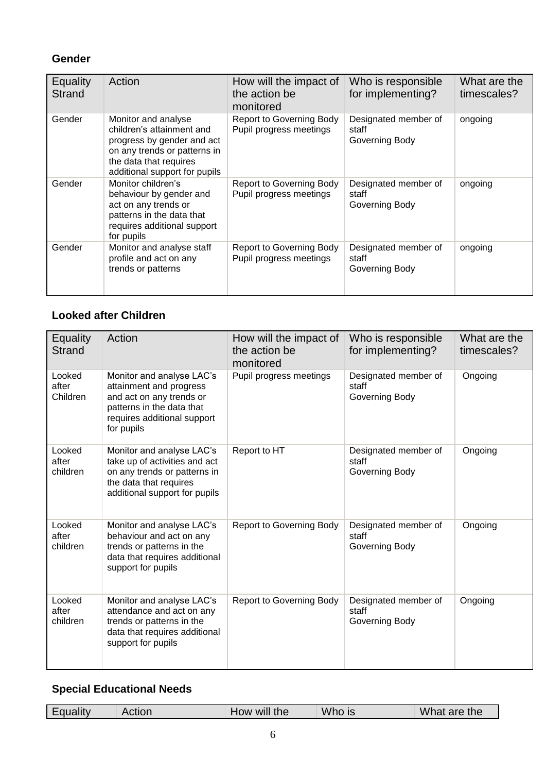# **Gender**

| Equality<br>Strand | Action                                                                                                                                                                    | How will the impact of<br>the action be<br>monitored       | Who is responsible<br>for implementing?         | What are the<br>timescales? |
|--------------------|---------------------------------------------------------------------------------------------------------------------------------------------------------------------------|------------------------------------------------------------|-------------------------------------------------|-----------------------------|
| Gender             | Monitor and analyse<br>children's attainment and<br>progress by gender and act<br>on any trends or patterns in<br>the data that requires<br>additional support for pupils | <b>Report to Governing Body</b><br>Pupil progress meetings | Designated member of<br>staff<br>Governing Body | ongoing                     |
| Gender             | Monitor children's<br>behaviour by gender and<br>act on any trends or<br>patterns in the data that<br>requires additional support<br>for pupils                           | <b>Report to Governing Body</b><br>Pupil progress meetings | Designated member of<br>staff<br>Governing Body | ongoing                     |
| Gender             | Monitor and analyse staff<br>profile and act on any<br>trends or patterns                                                                                                 | <b>Report to Governing Body</b><br>Pupil progress meetings | Designated member of<br>staff<br>Governing Body | ongoing                     |

# **Looked after Children**

| <b>Equality</b><br><b>Strand</b> | Action                                                                                                                                                     | How will the impact of<br>the action be<br>monitored | Who is responsible<br>for implementing?         | What are the<br>timescales? |
|----------------------------------|------------------------------------------------------------------------------------------------------------------------------------------------------------|------------------------------------------------------|-------------------------------------------------|-----------------------------|
| Looked<br>after<br>Children      | Monitor and analyse LAC's<br>attainment and progress<br>and act on any trends or<br>patterns in the data that<br>requires additional support<br>for pupils | Pupil progress meetings                              | Designated member of<br>staff<br>Governing Body | Ongoing                     |
| Looked<br>after<br>children      | Monitor and analyse LAC's<br>take up of activities and act<br>on any trends or patterns in<br>the data that requires<br>additional support for pupils      | Report to HT                                         | Designated member of<br>staff<br>Governing Body | Ongoing                     |
| Looked<br>after<br>children      | Monitor and analyse LAC's<br>behaviour and act on any<br>trends or patterns in the<br>data that requires additional<br>support for pupils                  | <b>Report to Governing Body</b>                      | Designated member of<br>staff<br>Governing Body | Ongoing                     |
| Looked<br>after<br>children      | Monitor and analyse LAC's<br>attendance and act on any<br>trends or patterns in the<br>data that requires additional<br>support for pupils                 | <b>Report to Governing Body</b>                      | Designated member of<br>staff<br>Governing Body | Ongoing                     |

## **Special Educational Needs**

| <br>ualıtv | Action | <br>the<br>WIII<br><b>HOW</b> | M/L<br>-IS<br>vvno | What<br>are the |
|------------|--------|-------------------------------|--------------------|-----------------|
|            |        |                               |                    |                 |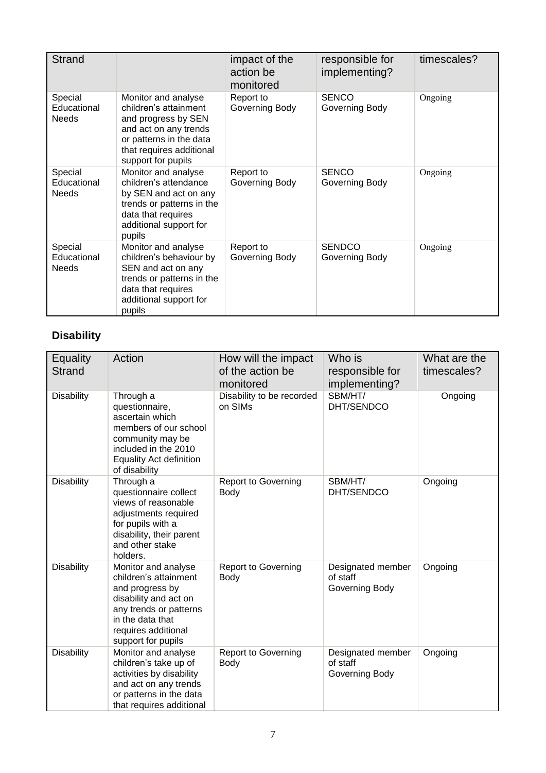| <b>Strand</b>                          |                                                                                                                                                                           | impact of the<br>action be<br>monitored | responsible for<br>implementing? | timescales? |
|----------------------------------------|---------------------------------------------------------------------------------------------------------------------------------------------------------------------------|-----------------------------------------|----------------------------------|-------------|
| Special<br>Educational<br><b>Needs</b> | Monitor and analyse<br>children's attainment<br>and progress by SEN<br>and act on any trends<br>or patterns in the data<br>that requires additional<br>support for pupils | Report to<br>Governing Body             | <b>SENCO</b><br>Governing Body   | Ongoing     |
| Special<br>Educational<br><b>Needs</b> | Monitor and analyse<br>children's attendance<br>by SEN and act on any<br>trends or patterns in the<br>data that requires<br>additional support for<br>pupils              | Report to<br>Governing Body             | <b>SENCO</b><br>Governing Body   | Ongoing     |
| Special<br>Educational<br><b>Needs</b> | Monitor and analyse<br>children's behaviour by<br>SEN and act on any<br>trends or patterns in the<br>data that requires<br>additional support for<br>pupils               | Report to<br>Governing Body             | <b>SENDCO</b><br>Governing Body  | Ongoing     |

# **Disability**

| <b>Equality</b><br><b>Strand</b> | Action                                                                                                                                                                              | How will the impact<br>of the action be<br>monitored | Who is<br>responsible for<br>implementing?      | What are the<br>timescales? |
|----------------------------------|-------------------------------------------------------------------------------------------------------------------------------------------------------------------------------------|------------------------------------------------------|-------------------------------------------------|-----------------------------|
| Disability                       | Through a<br>questionnaire,<br>ascertain which<br>members of our school<br>community may be<br>included in the 2010<br><b>Equality Act definition</b><br>of disability              | Disability to be recorded<br>on SIMs                 | SBM/HT/<br>DHT/SENDCO                           | Ongoing                     |
| <b>Disability</b>                | Through a<br>questionnaire collect<br>views of reasonable<br>adjustments required<br>for pupils with a<br>disability, their parent<br>and other stake<br>holders.                   | <b>Report to Governing</b><br>Body                   | SBM/HT/<br>DHT/SENDCO                           | Ongoing                     |
| Disability                       | Monitor and analyse<br>children's attainment<br>and progress by<br>disability and act on<br>any trends or patterns<br>in the data that<br>requires additional<br>support for pupils | <b>Report to Governing</b><br>Body                   | Designated member<br>of staff<br>Governing Body | Ongoing                     |
| <b>Disability</b>                | Monitor and analyse<br>children's take up of<br>activities by disability<br>and act on any trends<br>or patterns in the data<br>that requires additional                            | Report to Governing<br>Body                          | Designated member<br>of staff<br>Governing Body | Ongoing                     |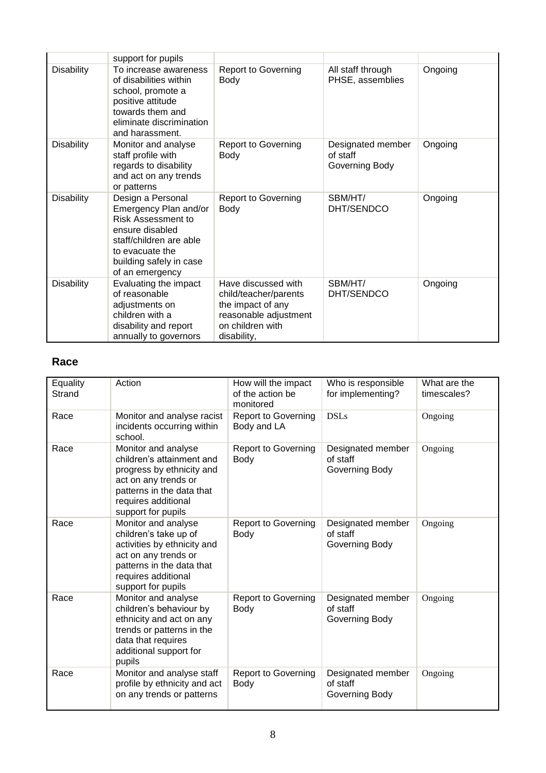|                   | support for pupils                                                                                                                                                              |                                                                                                                               |                                                 |         |
|-------------------|---------------------------------------------------------------------------------------------------------------------------------------------------------------------------------|-------------------------------------------------------------------------------------------------------------------------------|-------------------------------------------------|---------|
| <b>Disability</b> | To increase awareness<br>of disabilities within<br>school, promote a<br>positive attitude<br>towards them and<br>eliminate discrimination<br>and harassment.                    | <b>Report to Governing</b><br>Body                                                                                            | All staff through<br>PHSE, assemblies           | Ongoing |
| <b>Disability</b> | Monitor and analyse<br>staff profile with<br>regards to disability<br>and act on any trends<br>or patterns                                                                      | <b>Report to Governing</b><br>Body                                                                                            | Designated member<br>of staff<br>Governing Body | Ongoing |
| <b>Disability</b> | Design a Personal<br>Emergency Plan and/or<br>Risk Assessment to<br>ensure disabled<br>staff/children are able<br>to evacuate the<br>building safely in case<br>of an emergency | <b>Report to Governing</b><br>Body                                                                                            | SBM/HT/<br>DHT/SENDCO                           | Ongoing |
| <b>Disability</b> | Evaluating the impact<br>of reasonable<br>adjustments on<br>children with a<br>disability and report<br>annually to governors                                                   | Have discussed with<br>child/teacher/parents<br>the impact of any<br>reasonable adjustment<br>on children with<br>disability, | SBM/HT/<br>DHT/SENDCO                           | Ongoing |

## **Race**

| Equality<br>Strand | Action                                                                                                                                                                          | How will the impact<br>of the action be<br>monitored | Who is responsible<br>for implementing?         | What are the<br>timescales? |
|--------------------|---------------------------------------------------------------------------------------------------------------------------------------------------------------------------------|------------------------------------------------------|-------------------------------------------------|-----------------------------|
| Race               | Monitor and analyse racist<br>incidents occurring within<br>school.                                                                                                             | Report to Governing<br>Body and LA                   | <b>DSLs</b>                                     | Ongoing                     |
| Race               | Monitor and analyse<br>children's attainment and<br>progress by ethnicity and<br>act on any trends or<br>patterns in the data that<br>requires additional<br>support for pupils | <b>Report to Governing</b><br>Body                   | Designated member<br>of staff<br>Governing Body | Ongoing                     |
| Race               | Monitor and analyse<br>children's take up of<br>activities by ethnicity and<br>act on any trends or<br>patterns in the data that<br>requires additional<br>support for pupils   | <b>Report to Governing</b><br>Body                   | Designated member<br>of staff<br>Governing Body | Ongoing                     |
| Race               | Monitor and analyse<br>children's behaviour by<br>ethnicity and act on any<br>trends or patterns in the<br>data that requires<br>additional support for<br>pupils               | <b>Report to Governing</b><br>Body                   | Designated member<br>of staff<br>Governing Body | Ongoing                     |
| Race               | Monitor and analyse staff<br>profile by ethnicity and act<br>on any trends or patterns                                                                                          | <b>Report to Governing</b><br>Body                   | Designated member<br>of staff<br>Governing Body | Ongoing                     |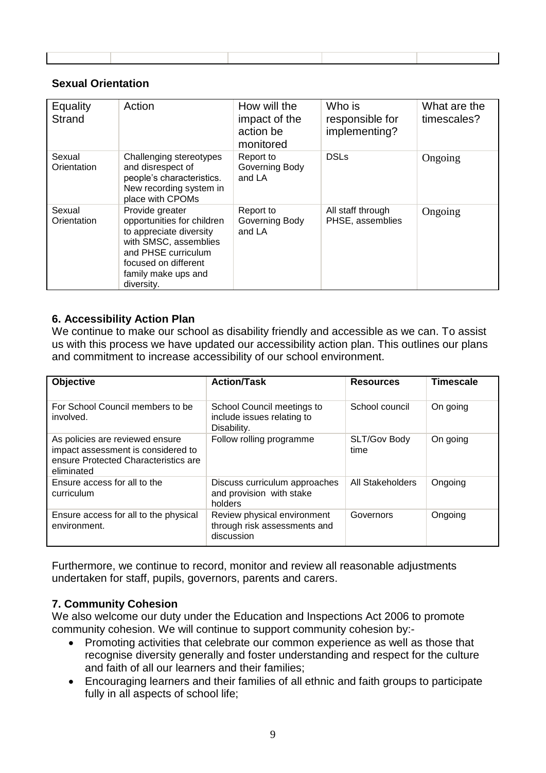#### **Sexual Orientation**

| Equality<br><b>Strand</b> | Action                                                                                                                                                                                | How will the<br>impact of the<br>action be<br>monitored | Who is<br>responsible for<br>implementing? | What are the<br>timescales? |
|---------------------------|---------------------------------------------------------------------------------------------------------------------------------------------------------------------------------------|---------------------------------------------------------|--------------------------------------------|-----------------------------|
| Sexual<br>Orientation     | Challenging stereotypes<br>and disrespect of<br>people's characteristics.<br>New recording system in<br>place with CPOMs                                                              | Report to<br>Governing Body<br>and LA                   | <b>DSLs</b>                                | Ongoing                     |
| Sexual<br>Orientation     | Provide greater<br>opportunities for children<br>to appreciate diversity<br>with SMSC, assemblies<br>and PHSE curriculum<br>focused on different<br>family make ups and<br>diversity. | Report to<br>Governing Body<br>and LA                   | All staff through<br>PHSE, assemblies      | Ongoing                     |

#### **6. Accessibility Action Plan**

We continue to make our school as disability friendly and accessible as we can. To assist us with this process we have updated our accessibility action plan. This outlines our plans and commitment to increase accessibility of our school environment.

| <b>Objective</b>                                                                                                            | <b>Action/Task</b>                                                        | <b>Resources</b>     | <b>Timescale</b> |
|-----------------------------------------------------------------------------------------------------------------------------|---------------------------------------------------------------------------|----------------------|------------------|
| For School Council members to be<br>involved.                                                                               | School Council meetings to<br>include issues relating to<br>Disability.   | School council       | On going         |
| As policies are reviewed ensure<br>impact assessment is considered to<br>ensure Protected Characteristics are<br>eliminated | Follow rolling programme                                                  | SLT/Gov Body<br>time | On going         |
| Ensure access for all to the<br>curriculum                                                                                  | Discuss curriculum approaches<br>and provision with stake<br>holders      | All Stakeholders     | Ongoing          |
| Ensure access for all to the physical<br>environment.                                                                       | Review physical environment<br>through risk assessments and<br>discussion | Governors            | Ongoing          |

Furthermore, we continue to record, monitor and review all reasonable adjustments undertaken for staff, pupils, governors, parents and carers.

#### **7. Community Cohesion**

We also welcome our duty under the Education and Inspections Act 2006 to promote community cohesion. We will continue to support community cohesion by:-

- Promoting activities that celebrate our common experience as well as those that recognise diversity generally and foster understanding and respect for the culture and faith of all our learners and their families;
- Encouraging learners and their families of all ethnic and faith groups to participate fully in all aspects of school life;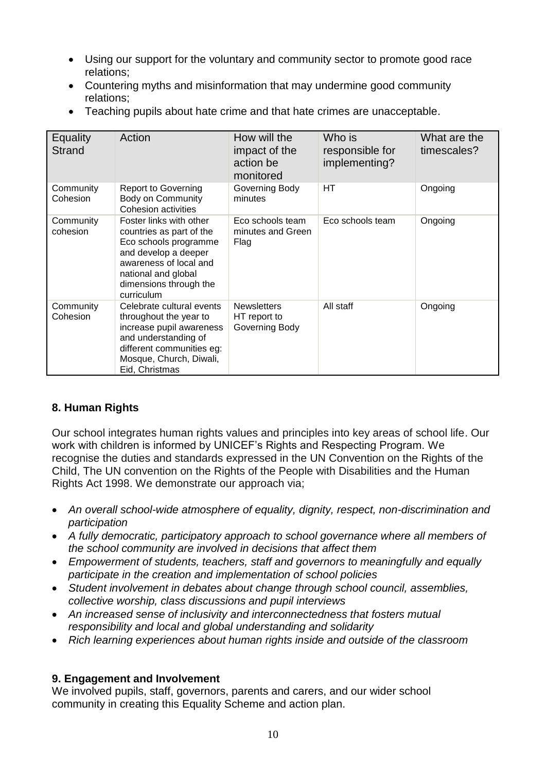- Using our support for the voluntary and community sector to promote good race relations;
- Countering myths and misinformation that may undermine good community relations;
- Teaching pupils about hate crime and that hate crimes are unacceptable.

| Equality<br>Strand    | Action                                                                                                                                                                                        | How will the<br>impact of the<br>action be<br>monitored | Who is<br>responsible for<br>implementing? | What are the<br>timescales? |
|-----------------------|-----------------------------------------------------------------------------------------------------------------------------------------------------------------------------------------------|---------------------------------------------------------|--------------------------------------------|-----------------------------|
| Community<br>Cohesion | <b>Report to Governing</b><br><b>Body on Community</b><br><b>Cohesion activities</b>                                                                                                          | Governing Body<br>minutes                               | HТ                                         | Ongoing                     |
| Community<br>cohesion | Foster links with other<br>countries as part of the<br>Eco schools programme<br>and develop a deeper<br>awareness of local and<br>national and global<br>dimensions through the<br>curriculum | Eco schools team<br>minutes and Green<br>Flag           | Eco schools team                           | Ongoing                     |
| Community<br>Cohesion | Celebrate cultural events<br>throughout the year to<br>increase pupil awareness<br>and understanding of<br>different communities eg:<br>Mosque, Church, Diwali,<br>Eid, Christmas             | <b>Newsletters</b><br>HT report to<br>Governing Body    | All staff                                  | Ongoing                     |

#### **8. Human Rights**

Our school integrates human rights values and principles into key areas of school life. Our work with children is informed by UNICEF's Rights and Respecting Program. We recognise the duties and standards expressed in the UN Convention on the Rights of the Child, The UN convention on the Rights of the People with Disabilities and the Human Rights Act 1998. We demonstrate our approach via;

- *An overall school-wide atmosphere of equality, dignity, respect, non-discrimination and participation*
- *A fully democratic, participatory approach to school governance where all members of the school community are involved in decisions that affect them*
- *Empowerment of students, teachers, staff and governors to meaningfully and equally participate in the creation and implementation of school policies*
- *Student involvement in debates about change through school council, assemblies, collective worship, class discussions and pupil interviews*
- *An increased sense of inclusivity and interconnectedness that fosters mutual responsibility and local and global understanding and solidarity*
- *Rich learning experiences about human rights inside and outside of the classroom*

#### **9. Engagement and Involvement**

We involved pupils, staff, governors, parents and carers, and our wider school community in creating this Equality Scheme and action plan.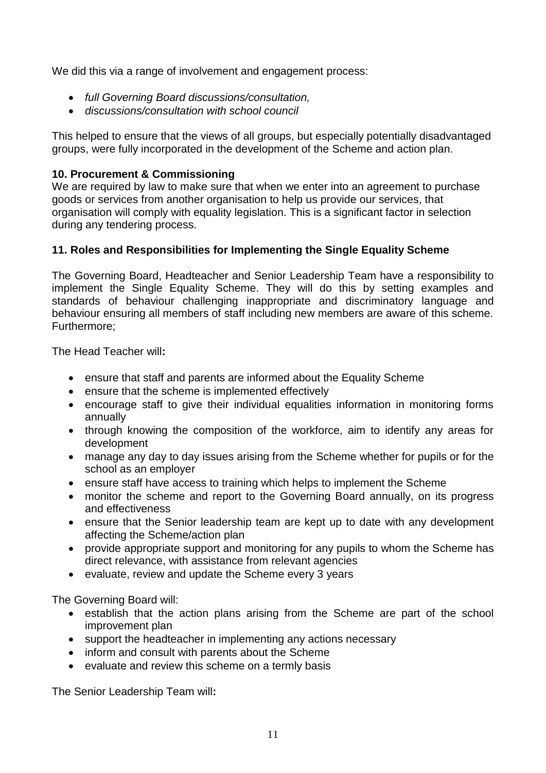We did this via a range of involvement and engagement process:

- *full Governing Board discussions/consultation,*
- *discussions/consultation with school council*

This helped to ensure that the views of all groups, but especially potentially disadvantaged groups, were fully incorporated in the development of the Scheme and action plan.

## **10. Procurement & Commissioning**

We are required by law to make sure that when we enter into an agreement to purchase goods or services from another organisation to help us provide our services, that organisation will comply with equality legislation. This is a significant factor in selection during any tendering process.

# **11. Roles and Responsibilities for Implementing the Single Equality Scheme**

The Governing Board, Headteacher and Senior Leadership Team have a responsibility to implement the Single Equality Scheme. They will do this by setting examples and standards of behaviour challenging inappropriate and discriminatory language and behaviour ensuring all members of staff including new members are aware of this scheme. Furthermore;

The Head Teacher will**:**

- ensure that staff and parents are informed about the Equality Scheme
- ensure that the scheme is implemented effectively
- encourage staff to give their individual equalities information in monitoring forms annually
- through knowing the composition of the workforce, aim to identify any areas for development
- manage any day to day issues arising from the Scheme whether for pupils or for the school as an employer
- ensure staff have access to training which helps to implement the Scheme
- monitor the scheme and report to the Governing Board annually, on its progress and effectiveness
- ensure that the Senior leadership team are kept up to date with any development affecting the Scheme/action plan
- provide appropriate support and monitoring for any pupils to whom the Scheme has direct relevance, with assistance from relevant agencies
- evaluate, review and update the Scheme every 3 years

The Governing Board will:

- establish that the action plans arising from the Scheme are part of the school improvement plan
- support the headteacher in implementing any actions necessary
- inform and consult with parents about the Scheme
- evaluate and review this scheme on a termly basis

The Senior Leadership Team will**:**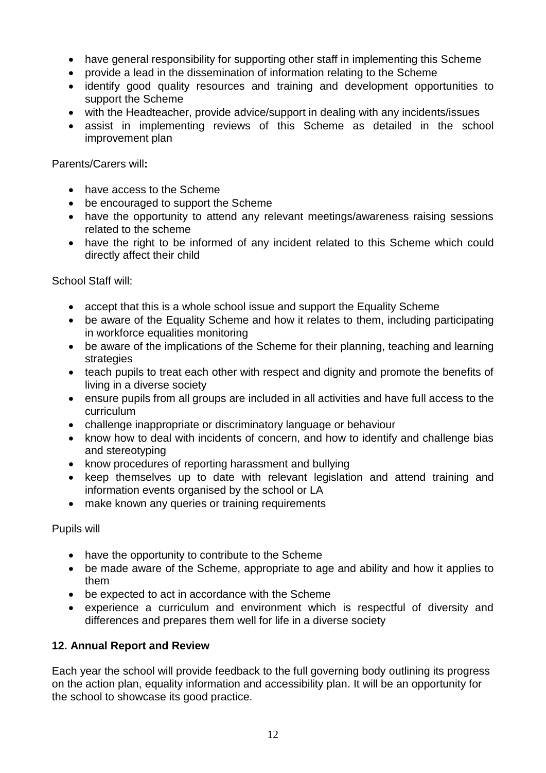- have general responsibility for supporting other staff in implementing this Scheme
- provide a lead in the dissemination of information relating to the Scheme
- identify good quality resources and training and development opportunities to support the Scheme
- with the Headteacher, provide advice/support in dealing with any incidents/issues
- assist in implementing reviews of this Scheme as detailed in the school improvement plan

Parents/Carers will**:**

- have access to the Scheme
- be encouraged to support the Scheme
- have the opportunity to attend any relevant meetings/awareness raising sessions related to the scheme
- have the right to be informed of any incident related to this Scheme which could directly affect their child

School Staff will:

- accept that this is a whole school issue and support the Equality Scheme
- be aware of the Equality Scheme and how it relates to them, including participating in workforce equalities monitoring
- be aware of the implications of the Scheme for their planning, teaching and learning strategies
- teach pupils to treat each other with respect and dignity and promote the benefits of living in a diverse society
- ensure pupils from all groups are included in all activities and have full access to the curriculum
- challenge inappropriate or discriminatory language or behaviour
- know how to deal with incidents of concern, and how to identify and challenge bias and stereotyping
- know procedures of reporting harassment and bullying
- keep themselves up to date with relevant legislation and attend training and information events organised by the school or LA
- make known any queries or training requirements

Pupils will

- have the opportunity to contribute to the Scheme
- be made aware of the Scheme, appropriate to age and ability and how it applies to them
- be expected to act in accordance with the Scheme
- experience a curriculum and environment which is respectful of diversity and differences and prepares them well for life in a diverse society

#### **12. Annual Report and Review**

Each year the school will provide feedback to the full governing body outlining its progress on the action plan, equality information and accessibility plan. It will be an opportunity for the school to showcase its good practice.